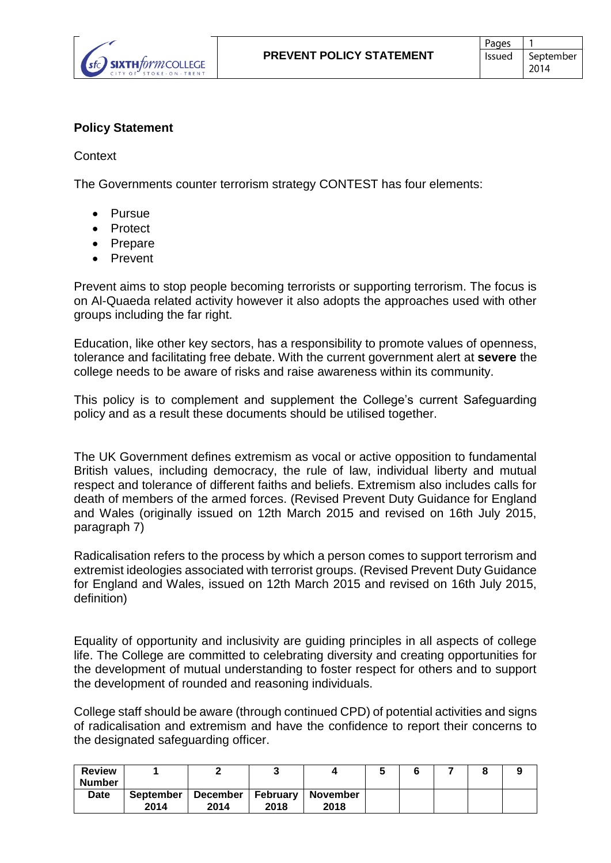

## **Policy Statement**

**Context** 

The Governments counter terrorism strategy CONTEST has four elements:

- **•** Pursue
- Protect
- Prepare
- Prevent

Prevent aims to stop people becoming terrorists or supporting terrorism. The focus is on Al-Quaeda related activity however it also adopts the approaches used with other groups including the far right.

Education, like other key sectors, has a responsibility to promote values of openness, tolerance and facilitating free debate. With the current government alert at **severe** the college needs to be aware of risks and raise awareness within its community.

This policy is to complement and supplement the College's current Safeguarding policy and as a result these documents should be utilised together.

The UK Government defines extremism as vocal or active opposition to fundamental British values, including democracy, the rule of law, individual liberty and mutual respect and tolerance of different faiths and beliefs. Extremism also includes calls for death of members of the armed forces. (Revised Prevent Duty Guidance for England and Wales (originally issued on 12th March 2015 and revised on 16th July 2015, paragraph 7)

Radicalisation refers to the process by which a person comes to support terrorism and extremist ideologies associated with terrorist groups. (Revised Prevent Duty Guidance for England and Wales, issued on 12th March 2015 and revised on 16th July 2015, definition)

Equality of opportunity and inclusivity are guiding principles in all aspects of college life. The College are committed to celebrating diversity and creating opportunities for the development of mutual understanding to foster respect for others and to support the development of rounded and reasoning individuals.

College staff should be aware (through continued CPD) of potential activities and signs of radicalisation and extremism and have the confidence to report their concerns to the designated safeguarding officer.

| <b>Review</b> |                  |          |          |                 |  |  |  |
|---------------|------------------|----------|----------|-----------------|--|--|--|
| <b>Number</b> |                  |          |          |                 |  |  |  |
| <b>Date</b>   | <b>September</b> | December | February | <b>November</b> |  |  |  |
|               | 2014             | 2014     | 2018     | 2018            |  |  |  |